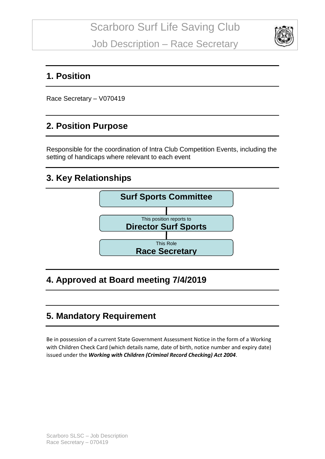

#### **1. Position**

Race Secretary – V070419

#### **2. Position Purpose**

Responsible for the coordination of Intra Club Competition Events, including the setting of handicaps where relevant to each event

#### **3. Key Relationships**



## **4. Approved at Board meeting 7/4/2019**

## **5. Mandatory Requirement**

Be in possession of a current State Government Assessment Notice in the form of a Working with Children Check Card (which details name, date of birth, notice number and expiry date) issued under the *Working with Children (Criminal Record Checking) Act 2004*.